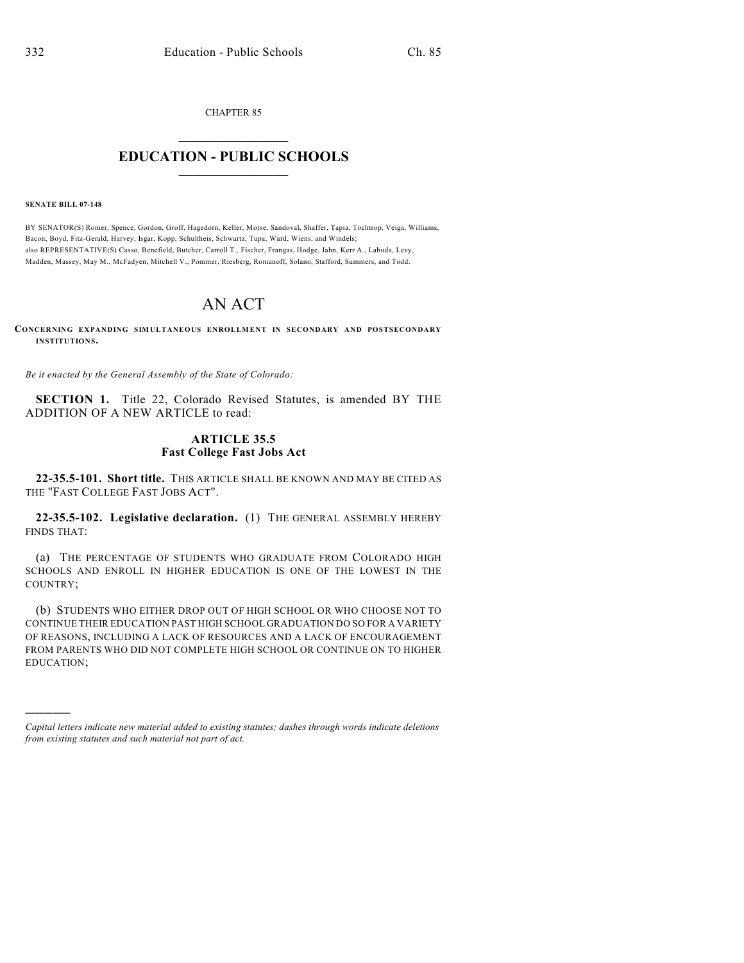CHAPTER 85  $\mathcal{L}_\text{max}$  . The set of the set of the set of the set of the set of the set of the set of the set of the set of the set of the set of the set of the set of the set of the set of the set of the set of the set of the set

## **EDUCATION - PUBLIC SCHOOLS**  $\_$   $\_$   $\_$   $\_$   $\_$   $\_$   $\_$   $\_$   $\_$

**SENATE BILL 07-148**

)))))

BY SENATOR(S) Romer, Spence, Gordon, Groff, Hagedorn, Keller, Morse, Sandoval, Shaffer, Tapia, Tochtrop, Veiga, Williams, Bacon, Boyd, Fitz-Gerald, Harvey, Isgar, Kopp, Schultheis, Schwartz, Tupa, Ward, Wiens, and Windels; also REPRESENTATIVE(S) Casso, Benefield, Butcher, Carroll T., Fischer, Frangas, Hodge, Jahn, Kerr A., Labuda, Levy, Madden, Massey, May M., McFadyen, Mitchell V., Pommer, Riesberg, Romanoff, Solano, Stafford, Summers, and Todd.

## AN ACT

**CONCERNING EXPANDING SIMULTANEOUS ENROLLMENT IN SECONDARY AND POSTSECONDARY INSTITUTIONS.**

*Be it enacted by the General Assembly of the State of Colorado:*

**SECTION 1.** Title 22, Colorado Revised Statutes, is amended BY THE ADDITION OF A NEW ARTICLE to read:

## **ARTICLE 35.5 Fast College Fast Jobs Act**

**22-35.5-101. Short title.** THIS ARTICLE SHALL BE KNOWN AND MAY BE CITED AS THE "FAST COLLEGE FAST JOBS ACT".

**22-35.5-102. Legislative declaration.** (1) THE GENERAL ASSEMBLY HEREBY FINDS THAT:

(a) THE PERCENTAGE OF STUDENTS WHO GRADUATE FROM COLORADO HIGH SCHOOLS AND ENROLL IN HIGHER EDUCATION IS ONE OF THE LOWEST IN THE COUNTRY;

(b) STUDENTS WHO EITHER DROP OUT OF HIGH SCHOOL OR WHO CHOOSE NOT TO CONTINUE THEIR EDUCATION PAST HIGH SCHOOL GRADUATION DO SO FOR A VARIETY OF REASONS, INCLUDING A LACK OF RESOURCES AND A LACK OF ENCOURAGEMENT FROM PARENTS WHO DID NOT COMPLETE HIGH SCHOOL OR CONTINUE ON TO HIGHER EDUCATION;

*Capital letters indicate new material added to existing statutes; dashes through words indicate deletions from existing statutes and such material not part of act.*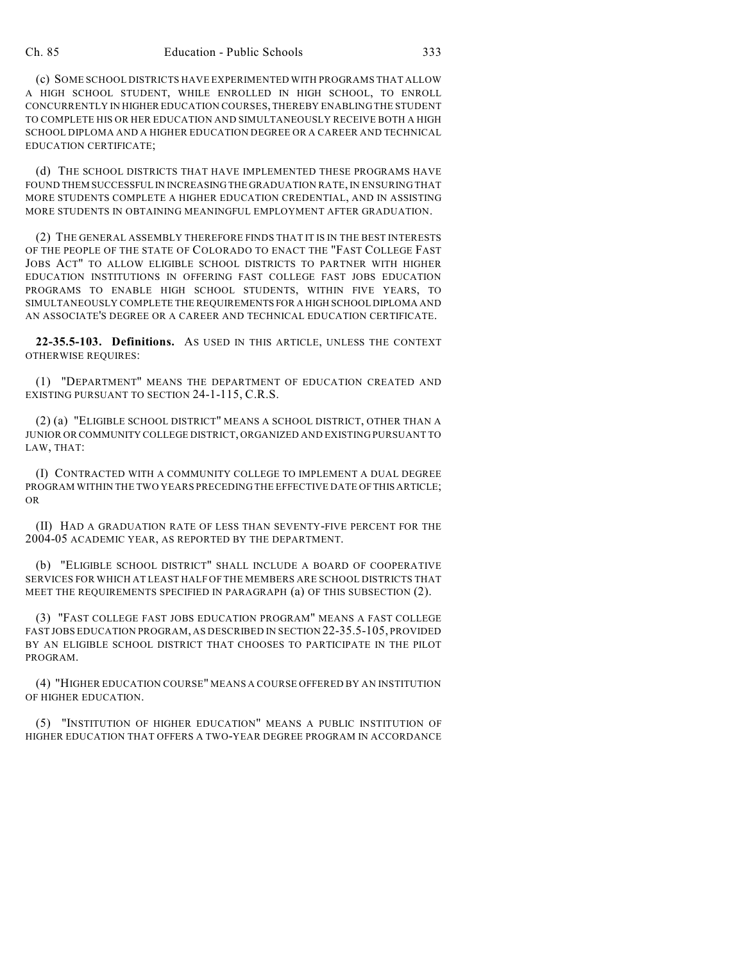(c) SOME SCHOOL DISTRICTS HAVE EXPERIMENTED WITH PROGRAMS THAT ALLOW A HIGH SCHOOL STUDENT, WHILE ENROLLED IN HIGH SCHOOL, TO ENROLL CONCURRENTLY IN HIGHER EDUCATION COURSES, THEREBY ENABLING THE STUDENT TO COMPLETE HIS OR HER EDUCATION AND SIMULTANEOUSLY RECEIVE BOTH A HIGH SCHOOL DIPLOMA AND A HIGHER EDUCATION DEGREE OR A CAREER AND TECHNICAL EDUCATION CERTIFICATE;

(d) THE SCHOOL DISTRICTS THAT HAVE IMPLEMENTED THESE PROGRAMS HAVE FOUND THEM SUCCESSFUL IN INCREASING THE GRADUATION RATE, IN ENSURING THAT MORE STUDENTS COMPLETE A HIGHER EDUCATION CREDENTIAL, AND IN ASSISTING MORE STUDENTS IN OBTAINING MEANINGFUL EMPLOYMENT AFTER GRADUATION.

(2) THE GENERAL ASSEMBLY THEREFORE FINDS THAT IT IS IN THE BEST INTERESTS OF THE PEOPLE OF THE STATE OF COLORADO TO ENACT THE "FAST COLLEGE FAST JOBS ACT" TO ALLOW ELIGIBLE SCHOOL DISTRICTS TO PARTNER WITH HIGHER EDUCATION INSTITUTIONS IN OFFERING FAST COLLEGE FAST JOBS EDUCATION PROGRAMS TO ENABLE HIGH SCHOOL STUDENTS, WITHIN FIVE YEARS, TO SIMULTANEOUSLY COMPLETE THE REQUIREMENTS FOR A HIGH SCHOOL DIPLOMA AND AN ASSOCIATE'S DEGREE OR A CAREER AND TECHNICAL EDUCATION CERTIFICATE.

**22-35.5-103. Definitions.** AS USED IN THIS ARTICLE, UNLESS THE CONTEXT OTHERWISE REQUIRES:

(1) "DEPARTMENT" MEANS THE DEPARTMENT OF EDUCATION CREATED AND EXISTING PURSUANT TO SECTION 24-1-115, C.R.S.

(2) (a) "ELIGIBLE SCHOOL DISTRICT" MEANS A SCHOOL DISTRICT, OTHER THAN A JUNIOR OR COMMUNITY COLLEGE DISTRICT, ORGANIZED AND EXISTING PURSUANT TO LAW, THAT:

(I) CONTRACTED WITH A COMMUNITY COLLEGE TO IMPLEMENT A DUAL DEGREE PROGRAM WITHIN THE TWO YEARS PRECEDING THE EFFECTIVE DATE OF THIS ARTICLE; OR

(II) HAD A GRADUATION RATE OF LESS THAN SEVENTY-FIVE PERCENT FOR THE 2004-05 ACADEMIC YEAR, AS REPORTED BY THE DEPARTMENT.

(b) "ELIGIBLE SCHOOL DISTRICT" SHALL INCLUDE A BOARD OF COOPERATIVE SERVICES FOR WHICH AT LEAST HALF OF THE MEMBERS ARE SCHOOL DISTRICTS THAT MEET THE REQUIREMENTS SPECIFIED IN PARAGRAPH (a) OF THIS SUBSECTION (2).

(3) "FAST COLLEGE FAST JOBS EDUCATION PROGRAM" MEANS A FAST COLLEGE FAST JOBS EDUCATION PROGRAM, AS DESCRIBED IN SECTION 22-35.5-105, PROVIDED BY AN ELIGIBLE SCHOOL DISTRICT THAT CHOOSES TO PARTICIPATE IN THE PILOT PROGRAM.

(4) "HIGHER EDUCATION COURSE" MEANS A COURSE OFFERED BY AN INSTITUTION OF HIGHER EDUCATION.

(5) "INSTITUTION OF HIGHER EDUCATION" MEANS A PUBLIC INSTITUTION OF HIGHER EDUCATION THAT OFFERS A TWO-YEAR DEGREE PROGRAM IN ACCORDANCE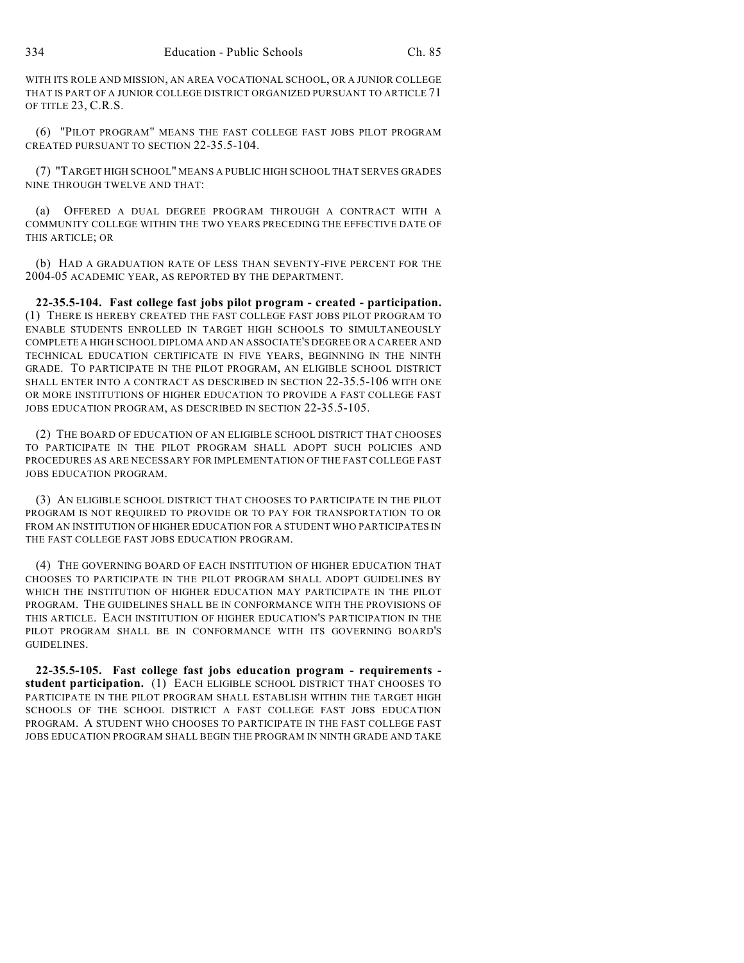WITH ITS ROLE AND MISSION, AN AREA VOCATIONAL SCHOOL, OR A JUNIOR COLLEGE THAT IS PART OF A JUNIOR COLLEGE DISTRICT ORGANIZED PURSUANT TO ARTICLE 71 OF TITLE 23, C.R.S.

(6) "PILOT PROGRAM" MEANS THE FAST COLLEGE FAST JOBS PILOT PROGRAM CREATED PURSUANT TO SECTION 22-35.5-104.

(7) "TARGET HIGH SCHOOL" MEANS A PUBLIC HIGH SCHOOL THAT SERVES GRADES NINE THROUGH TWELVE AND THAT:

(a) OFFERED A DUAL DEGREE PROGRAM THROUGH A CONTRACT WITH A COMMUNITY COLLEGE WITHIN THE TWO YEARS PRECEDING THE EFFECTIVE DATE OF THIS ARTICLE; OR

(b) HAD A GRADUATION RATE OF LESS THAN SEVENTY-FIVE PERCENT FOR THE 2004-05 ACADEMIC YEAR, AS REPORTED BY THE DEPARTMENT.

**22-35.5-104. Fast college fast jobs pilot program - created - participation.** (1) THERE IS HEREBY CREATED THE FAST COLLEGE FAST JOBS PILOT PROGRAM TO ENABLE STUDENTS ENROLLED IN TARGET HIGH SCHOOLS TO SIMULTANEOUSLY COMPLETE A HIGH SCHOOL DIPLOMA AND AN ASSOCIATE'S DEGREE OR A CAREER AND TECHNICAL EDUCATION CERTIFICATE IN FIVE YEARS, BEGINNING IN THE NINTH GRADE. TO PARTICIPATE IN THE PILOT PROGRAM, AN ELIGIBLE SCHOOL DISTRICT SHALL ENTER INTO A CONTRACT AS DESCRIBED IN SECTION 22-35.5-106 WITH ONE OR MORE INSTITUTIONS OF HIGHER EDUCATION TO PROVIDE A FAST COLLEGE FAST JOBS EDUCATION PROGRAM, AS DESCRIBED IN SECTION 22-35.5-105.

(2) THE BOARD OF EDUCATION OF AN ELIGIBLE SCHOOL DISTRICT THAT CHOOSES TO PARTICIPATE IN THE PILOT PROGRAM SHALL ADOPT SUCH POLICIES AND PROCEDURES AS ARE NECESSARY FOR IMPLEMENTATION OF THE FAST COLLEGE FAST JOBS EDUCATION PROGRAM.

(3) AN ELIGIBLE SCHOOL DISTRICT THAT CHOOSES TO PARTICIPATE IN THE PILOT PROGRAM IS NOT REQUIRED TO PROVIDE OR TO PAY FOR TRANSPORTATION TO OR FROM AN INSTITUTION OF HIGHER EDUCATION FOR A STUDENT WHO PARTICIPATES IN THE FAST COLLEGE FAST JOBS EDUCATION PROGRAM.

(4) THE GOVERNING BOARD OF EACH INSTITUTION OF HIGHER EDUCATION THAT CHOOSES TO PARTICIPATE IN THE PILOT PROGRAM SHALL ADOPT GUIDELINES BY WHICH THE INSTITUTION OF HIGHER EDUCATION MAY PARTICIPATE IN THE PILOT PROGRAM. THE GUIDELINES SHALL BE IN CONFORMANCE WITH THE PROVISIONS OF THIS ARTICLE. EACH INSTITUTION OF HIGHER EDUCATION'S PARTICIPATION IN THE PILOT PROGRAM SHALL BE IN CONFORMANCE WITH ITS GOVERNING BOARD'S GUIDELINES.

**22-35.5-105. Fast college fast jobs education program - requirements student participation.** (1) EACH ELIGIBLE SCHOOL DISTRICT THAT CHOOSES TO PARTICIPATE IN THE PILOT PROGRAM SHALL ESTABLISH WITHIN THE TARGET HIGH SCHOOLS OF THE SCHOOL DISTRICT A FAST COLLEGE FAST JOBS EDUCATION PROGRAM. A STUDENT WHO CHOOSES TO PARTICIPATE IN THE FAST COLLEGE FAST JOBS EDUCATION PROGRAM SHALL BEGIN THE PROGRAM IN NINTH GRADE AND TAKE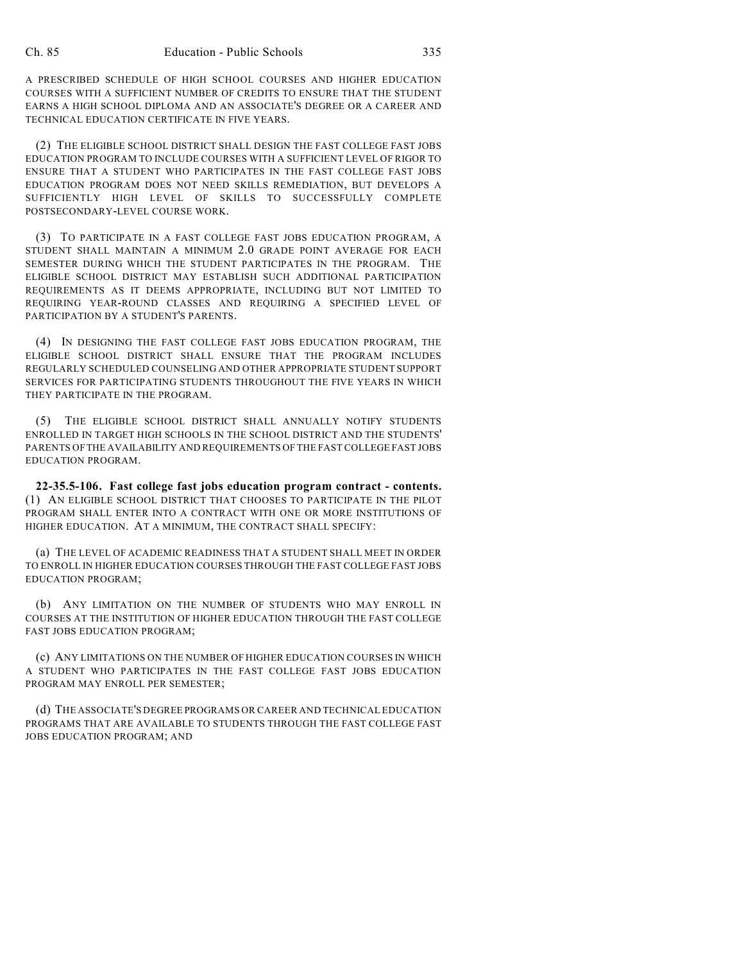A PRESCRIBED SCHEDULE OF HIGH SCHOOL COURSES AND HIGHER EDUCATION COURSES WITH A SUFFICIENT NUMBER OF CREDITS TO ENSURE THAT THE STUDENT EARNS A HIGH SCHOOL DIPLOMA AND AN ASSOCIATE'S DEGREE OR A CAREER AND TECHNICAL EDUCATION CERTIFICATE IN FIVE YEARS.

(2) THE ELIGIBLE SCHOOL DISTRICT SHALL DESIGN THE FAST COLLEGE FAST JOBS EDUCATION PROGRAM TO INCLUDE COURSES WITH A SUFFICIENT LEVEL OF RIGOR TO ENSURE THAT A STUDENT WHO PARTICIPATES IN THE FAST COLLEGE FAST JOBS EDUCATION PROGRAM DOES NOT NEED SKILLS REMEDIATION, BUT DEVELOPS A SUFFICIENTLY HIGH LEVEL OF SKILLS TO SUCCESSFULLY COMPLETE POSTSECONDARY-LEVEL COURSE WORK.

(3) TO PARTICIPATE IN A FAST COLLEGE FAST JOBS EDUCATION PROGRAM, A STUDENT SHALL MAINTAIN A MINIMUM 2.0 GRADE POINT AVERAGE FOR EACH SEMESTER DURING WHICH THE STUDENT PARTICIPATES IN THE PROGRAM. THE ELIGIBLE SCHOOL DISTRICT MAY ESTABLISH SUCH ADDITIONAL PARTICIPATION REQUIREMENTS AS IT DEEMS APPROPRIATE, INCLUDING BUT NOT LIMITED TO REQUIRING YEAR-ROUND CLASSES AND REQUIRING A SPECIFIED LEVEL OF PARTICIPATION BY A STUDENT'S PARENTS.

(4) IN DESIGNING THE FAST COLLEGE FAST JOBS EDUCATION PROGRAM, THE ELIGIBLE SCHOOL DISTRICT SHALL ENSURE THAT THE PROGRAM INCLUDES REGULARLY SCHEDULED COUNSELING AND OTHER APPROPRIATE STUDENT SUPPORT SERVICES FOR PARTICIPATING STUDENTS THROUGHOUT THE FIVE YEARS IN WHICH THEY PARTICIPATE IN THE PROGRAM.

(5) THE ELIGIBLE SCHOOL DISTRICT SHALL ANNUALLY NOTIFY STUDENTS ENROLLED IN TARGET HIGH SCHOOLS IN THE SCHOOL DISTRICT AND THE STUDENTS' PARENTS OF THE AVAILABILITY AND REQUIREMENTS OF THE FAST COLLEGE FAST JOBS EDUCATION PROGRAM.

**22-35.5-106. Fast college fast jobs education program contract - contents.** (1) AN ELIGIBLE SCHOOL DISTRICT THAT CHOOSES TO PARTICIPATE IN THE PILOT PROGRAM SHALL ENTER INTO A CONTRACT WITH ONE OR MORE INSTITUTIONS OF HIGHER EDUCATION. AT A MINIMUM, THE CONTRACT SHALL SPECIFY:

(a) THE LEVEL OF ACADEMIC READINESS THAT A STUDENT SHALL MEET IN ORDER TO ENROLL IN HIGHER EDUCATION COURSES THROUGH THE FAST COLLEGE FAST JOBS EDUCATION PROGRAM;

(b) ANY LIMITATION ON THE NUMBER OF STUDENTS WHO MAY ENROLL IN COURSES AT THE INSTITUTION OF HIGHER EDUCATION THROUGH THE FAST COLLEGE FAST JOBS EDUCATION PROGRAM;

(c) ANY LIMITATIONS ON THE NUMBER OF HIGHER EDUCATION COURSES IN WHICH A STUDENT WHO PARTICIPATES IN THE FAST COLLEGE FAST JOBS EDUCATION PROGRAM MAY ENROLL PER SEMESTER;

(d) THE ASSOCIATE'S DEGREE PROGRAMS OR CAREER AND TECHNICAL EDUCATION PROGRAMS THAT ARE AVAILABLE TO STUDENTS THROUGH THE FAST COLLEGE FAST JOBS EDUCATION PROGRAM; AND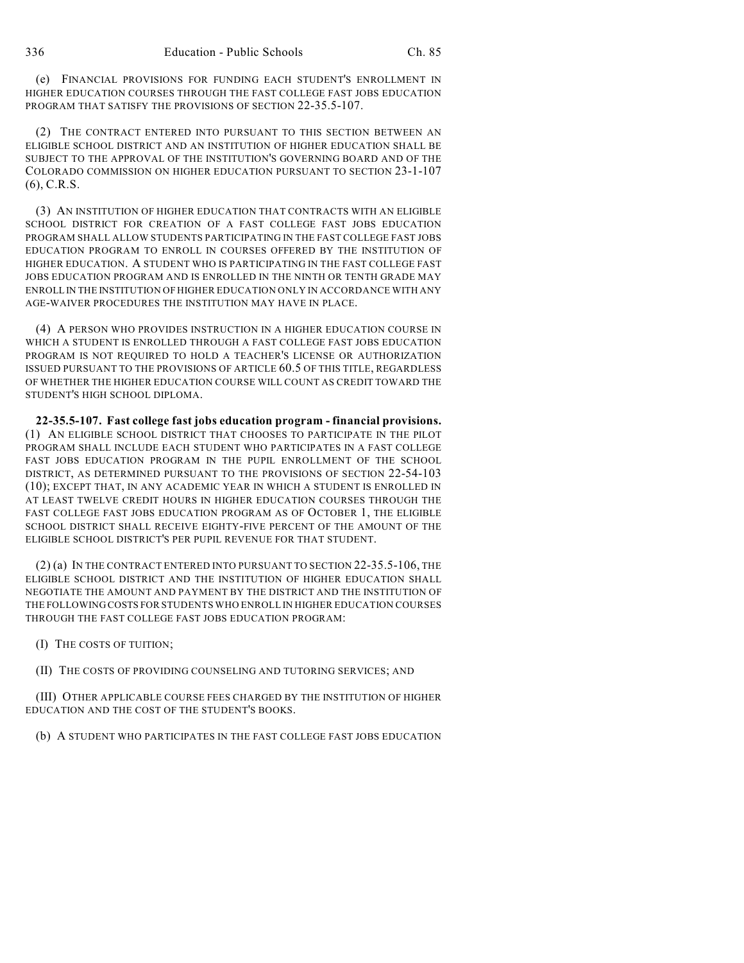(e) FINANCIAL PROVISIONS FOR FUNDING EACH STUDENT'S ENROLLMENT IN HIGHER EDUCATION COURSES THROUGH THE FAST COLLEGE FAST JOBS EDUCATION PROGRAM THAT SATISFY THE PROVISIONS OF SECTION 22-35.5-107.

(2) THE CONTRACT ENTERED INTO PURSUANT TO THIS SECTION BETWEEN AN ELIGIBLE SCHOOL DISTRICT AND AN INSTITUTION OF HIGHER EDUCATION SHALL BE SUBJECT TO THE APPROVAL OF THE INSTITUTION'S GOVERNING BOARD AND OF THE COLORADO COMMISSION ON HIGHER EDUCATION PURSUANT TO SECTION 23-1-107 (6), C.R.S.

(3) AN INSTITUTION OF HIGHER EDUCATION THAT CONTRACTS WITH AN ELIGIBLE SCHOOL DISTRICT FOR CREATION OF A FAST COLLEGE FAST JOBS EDUCATION PROGRAM SHALL ALLOW STUDENTS PARTICIPATING IN THE FAST COLLEGE FAST JOBS EDUCATION PROGRAM TO ENROLL IN COURSES OFFERED BY THE INSTITUTION OF HIGHER EDUCATION. A STUDENT WHO IS PARTICIPATING IN THE FAST COLLEGE FAST JOBS EDUCATION PROGRAM AND IS ENROLLED IN THE NINTH OR TENTH GRADE MAY ENROLL IN THE INSTITUTION OF HIGHER EDUCATION ONLY IN ACCORDANCE WITH ANY AGE-WAIVER PROCEDURES THE INSTITUTION MAY HAVE IN PLACE.

(4) A PERSON WHO PROVIDES INSTRUCTION IN A HIGHER EDUCATION COURSE IN WHICH A STUDENT IS ENROLLED THROUGH A FAST COLLEGE FAST JOBS EDUCATION PROGRAM IS NOT REQUIRED TO HOLD A TEACHER'S LICENSE OR AUTHORIZATION ISSUED PURSUANT TO THE PROVISIONS OF ARTICLE 60.5 OF THIS TITLE, REGARDLESS OF WHETHER THE HIGHER EDUCATION COURSE WILL COUNT AS CREDIT TOWARD THE STUDENT'S HIGH SCHOOL DIPLOMA.

**22-35.5-107. Fast college fast jobs education program - financial provisions.** (1) AN ELIGIBLE SCHOOL DISTRICT THAT CHOOSES TO PARTICIPATE IN THE PILOT PROGRAM SHALL INCLUDE EACH STUDENT WHO PARTICIPATES IN A FAST COLLEGE FAST JOBS EDUCATION PROGRAM IN THE PUPIL ENROLLMENT OF THE SCHOOL DISTRICT, AS DETERMINED PURSUANT TO THE PROVISIONS OF SECTION 22-54-103 (10); EXCEPT THAT, IN ANY ACADEMIC YEAR IN WHICH A STUDENT IS ENROLLED IN AT LEAST TWELVE CREDIT HOURS IN HIGHER EDUCATION COURSES THROUGH THE FAST COLLEGE FAST JOBS EDUCATION PROGRAM AS OF OCTOBER 1, THE ELIGIBLE SCHOOL DISTRICT SHALL RECEIVE EIGHTY-FIVE PERCENT OF THE AMOUNT OF THE ELIGIBLE SCHOOL DISTRICT'S PER PUPIL REVENUE FOR THAT STUDENT.

(2) (a) IN THE CONTRACT ENTERED INTO PURSUANT TO SECTION 22-35.5-106, THE ELIGIBLE SCHOOL DISTRICT AND THE INSTITUTION OF HIGHER EDUCATION SHALL NEGOTIATE THE AMOUNT AND PAYMENT BY THE DISTRICT AND THE INSTITUTION OF THE FOLLOWING COSTS FOR STUDENTS WHO ENROLL IN HIGHER EDUCATION COURSES THROUGH THE FAST COLLEGE FAST JOBS EDUCATION PROGRAM:

(I) THE COSTS OF TUITION;

(II) THE COSTS OF PROVIDING COUNSELING AND TUTORING SERVICES; AND

(III) OTHER APPLICABLE COURSE FEES CHARGED BY THE INSTITUTION OF HIGHER EDUCATION AND THE COST OF THE STUDENT'S BOOKS.

(b) A STUDENT WHO PARTICIPATES IN THE FAST COLLEGE FAST JOBS EDUCATION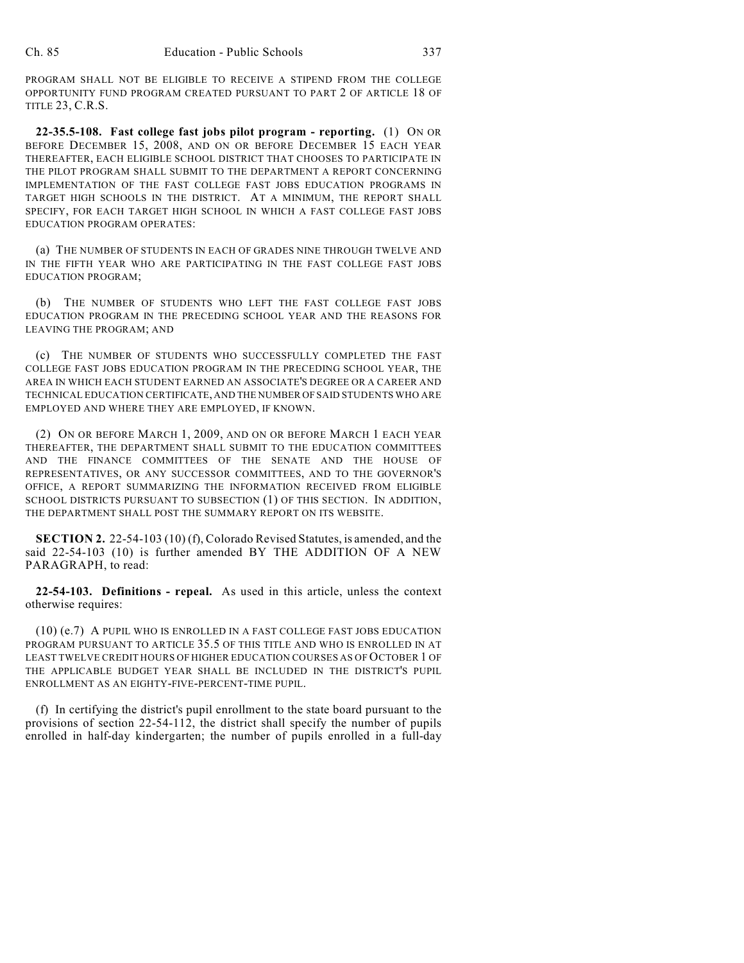PROGRAM SHALL NOT BE ELIGIBLE TO RECEIVE A STIPEND FROM THE COLLEGE OPPORTUNITY FUND PROGRAM CREATED PURSUANT TO PART 2 OF ARTICLE 18 OF TITLE 23, C.R.S.

**22-35.5-108. Fast college fast jobs pilot program - reporting.** (1) ON OR BEFORE DECEMBER 15, 2008, AND ON OR BEFORE DECEMBER 15 EACH YEAR THEREAFTER, EACH ELIGIBLE SCHOOL DISTRICT THAT CHOOSES TO PARTICIPATE IN THE PILOT PROGRAM SHALL SUBMIT TO THE DEPARTMENT A REPORT CONCERNING IMPLEMENTATION OF THE FAST COLLEGE FAST JOBS EDUCATION PROGRAMS IN TARGET HIGH SCHOOLS IN THE DISTRICT. AT A MINIMUM, THE REPORT SHALL SPECIFY, FOR EACH TARGET HIGH SCHOOL IN WHICH A FAST COLLEGE FAST JOBS EDUCATION PROGRAM OPERATES:

(a) THE NUMBER OF STUDENTS IN EACH OF GRADES NINE THROUGH TWELVE AND IN THE FIFTH YEAR WHO ARE PARTICIPATING IN THE FAST COLLEGE FAST JOBS EDUCATION PROGRAM;

(b) THE NUMBER OF STUDENTS WHO LEFT THE FAST COLLEGE FAST JOBS EDUCATION PROGRAM IN THE PRECEDING SCHOOL YEAR AND THE REASONS FOR LEAVING THE PROGRAM; AND

(c) THE NUMBER OF STUDENTS WHO SUCCESSFULLY COMPLETED THE FAST COLLEGE FAST JOBS EDUCATION PROGRAM IN THE PRECEDING SCHOOL YEAR, THE AREA IN WHICH EACH STUDENT EARNED AN ASSOCIATE'S DEGREE OR A CAREER AND TECHNICAL EDUCATION CERTIFICATE, AND THE NUMBER OF SAID STUDENTS WHO ARE EMPLOYED AND WHERE THEY ARE EMPLOYED, IF KNOWN.

(2) ON OR BEFORE MARCH 1, 2009, AND ON OR BEFORE MARCH 1 EACH YEAR THEREAFTER, THE DEPARTMENT SHALL SUBMIT TO THE EDUCATION COMMITTEES AND THE FINANCE COMMITTEES OF THE SENATE AND THE HOUSE OF REPRESENTATIVES, OR ANY SUCCESSOR COMMITTEES, AND TO THE GOVERNOR'S OFFICE, A REPORT SUMMARIZING THE INFORMATION RECEIVED FROM ELIGIBLE SCHOOL DISTRICTS PURSUANT TO SUBSECTION (1) OF THIS SECTION. IN ADDITION, THE DEPARTMENT SHALL POST THE SUMMARY REPORT ON ITS WEBSITE.

**SECTION 2.** 22-54-103 (10) (f), Colorado Revised Statutes, is amended, and the said 22-54-103 (10) is further amended BY THE ADDITION OF A NEW PARAGRAPH, to read:

**22-54-103. Definitions - repeal.** As used in this article, unless the context otherwise requires:

(10) (e.7) A PUPIL WHO IS ENROLLED IN A FAST COLLEGE FAST JOBS EDUCATION PROGRAM PURSUANT TO ARTICLE 35.5 OF THIS TITLE AND WHO IS ENROLLED IN AT LEAST TWELVE CREDIT HOURS OF HIGHER EDUCATION COURSES AS OF OCTOBER 1 OF THE APPLICABLE BUDGET YEAR SHALL BE INCLUDED IN THE DISTRICT'S PUPIL ENROLLMENT AS AN EIGHTY-FIVE-PERCENT-TIME PUPIL.

(f) In certifying the district's pupil enrollment to the state board pursuant to the provisions of section 22-54-112, the district shall specify the number of pupils enrolled in half-day kindergarten; the number of pupils enrolled in a full-day